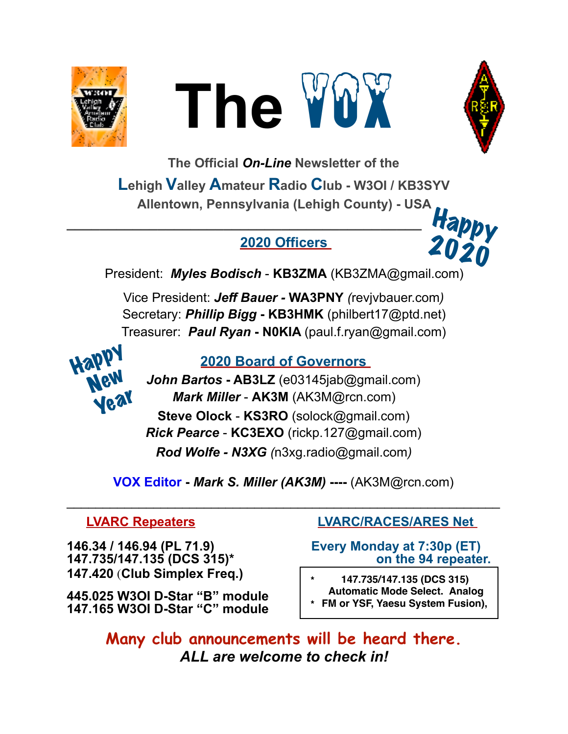





**The Official** *On-Line* **Newsletter of the Lehigh Valley Amateur Radio Club - W3OI / KB3SYV Allentown, Pennsylvania (Lehigh County) - USA**  Happy

### **2020 Officers**

**\_\_\_\_\_\_\_\_\_\_\_\_\_\_\_\_\_\_\_\_\_\_\_\_\_\_\_\_\_\_\_\_\_\_\_\_\_\_\_\_\_\_\_** 

President: *Myles Bodisch* - **KB3ZMA** [\(KB3ZMA@gmail.com](mailto:KB3ZMA@gmail.com)) 2020

Vice President: *Jeff Bauer -* **WA3PNY** *(*[revjvbauer.com](http://revjvbauer.com)*)* Secretary: *Phillip Bigg* **- KB3HMK** [\(philbert17@ptd.net](mailto:philbert17@ptd.net)) Treasurer: *Paul Ryan* **- N0KIA** [\(paul.f.ryan@gmail.com](mailto:paul.f.ryan@gmail.com))



# **2020 Board of Governors**

*John Bartos* **- AB3LZ** ([e03145jab@gmail.com\)](mailto:e03145jab@gmail.com) *Mark Miller* - **AK3M** ([AK3M@rcn.com\)](mailto:AK3M@rcn.com) **Steve Olock** - **KS3RO** ([solock@gmail.com](mailto:solock@gmail.com)) *Rick Pearce* - **KC3EXO** ([rickp.127@gmail.com\)](mailto:rickp.127@gmail.com) *Rod Wolfe - N3XG (*[n3xg.radio@gmail.com](mailto:n3xg.radio@gmail.com)*)* 

**VOX Editor -** *Mark S. Miller (AK3M)* **----** (AK3M@rcn.com)

 $\mathcal{L}_\text{max}$  , and the contract of the contract of the contract of the contract of the contract of the contract of the contract of the contract of the contract of the contract of the contract of the contract of the contr

**146.34 / 146.94 (PL 71.9) Every Monday at 7:30p (ET) 147.420** (**Club Simplex Freq.)** 

**445.025 W3OI D-Star "B" module 147.165 W3OI D-Star "C" module** 

#### **LVARC Repeaters LVARC/RACES/ARES Net**

**147.735/147.135 (DCS 315)\* on the 94 repeater.** 

**\* 147.735/147.135 (DCS 315) Automatic Mode Select. Analog \* FM or YSF, Yaesu System Fusion),**

**Many club announcements will be heard there.** *ALL are welcome to check in!*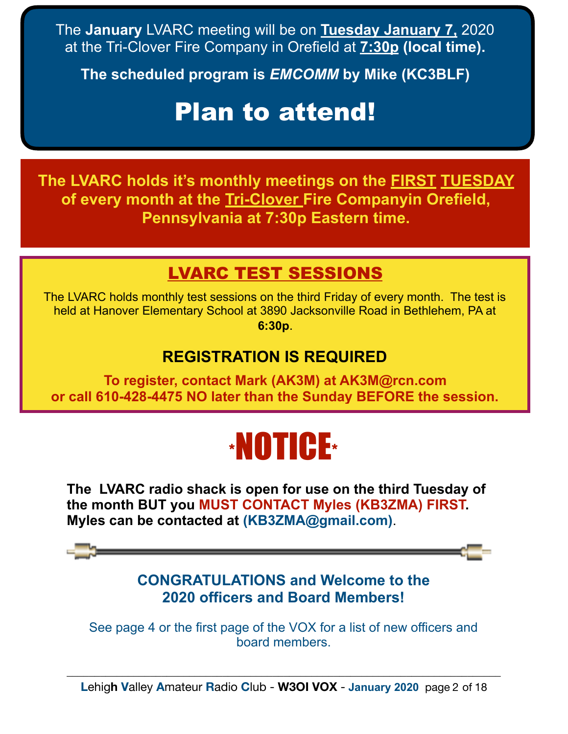The **January** LVARC meeting will be on **Tuesday January 7,** 2020 at the Tri-Clover Fire Company in Orefield at **7:30p (local time).** 

**The scheduled program is** *EMCOMM* **by Mike (KC3BLF)** 

# Plan to attend!

**The LVARC holds it's monthly meetings on the FIRST TUESDAY of every month at the Tri-Clover Fire Companyin Orefield, Pennsylvania at 7:30p Eastern time.**

# LVARC TEST SESSIONS

The LVARC holds monthly test sessions on the third Friday of every month. The test is held at Hanover Elementary School at 3890 Jacksonville Road in Bethlehem, PA at **6:30p**.

# **REGISTRATION IS REQUIRED**

**To register, contact Mark (AK3M) at [AK3M@rcn.com](mailto:AK3M@rcn.com) or call 610-428-4475 NO later than the Sunday BEFORE the session.**

# \*NOTICE\* \*

**The LVARC radio shack is open for use on the third Tuesday of the month BUT you MUST CONTACT Myles (KB3ZMA) FIRST. Myles can be contacted at [\(KB3ZMA@gmail.com](mailto:KB3ZMA@gmail.com))**.

#### **CONGRATULATIONS and Welcome to the 2020 officers and Board Members!**

See page 4 or the first page of the VOX for a list of new officers and board members.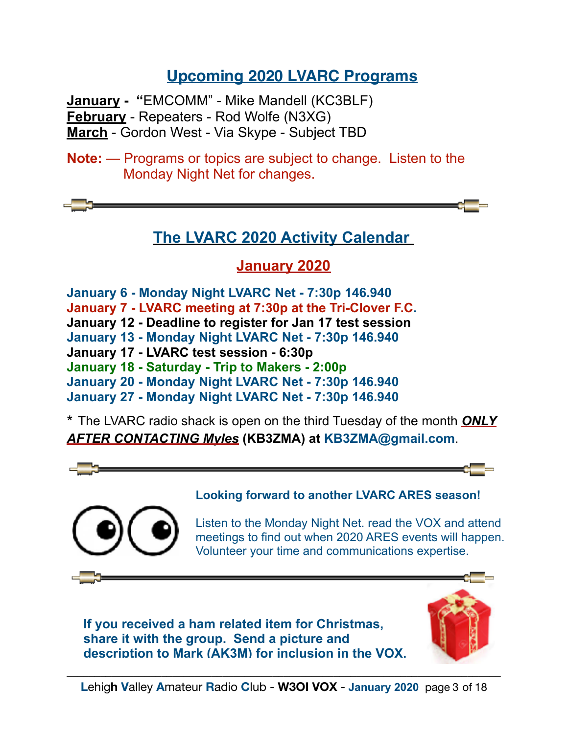# **Upcoming 2020 LVARC Programs**

**January - "**EMCOMM" - Mike Mandell (KC3BLF) **February** - Repeaters - Rod Wolfe (N3XG) **March** - Gordon West - Via Skype - Subject TBD

**Note:** — Programs or topics are subject to change. Listen to the Monday Night Net for changes.

# **The LVARC 2020 Activity Calendar**

# **January 2020**

**January 6 - Monday Night LVARC Net - 7:30p 146.940 January 7 - LVARC meeting at 7:30p at the Tri-Clover F.C. January 12 - Deadline to register for Jan 17 test session January 13 - Monday Night LVARC Net - 7:30p 146.940 January 17 - LVARC test session - 6:30p January 18 - Saturday - Trip to Makers - 2:00p January 20 - Monday Night LVARC Net - 7:30p 146.940 January 27 - Monday Night LVARC Net - 7:30p 146.940** 

\* The LVARC radio shack is open on the third Tuesday of the month *ONLY AFTER CONTACTING Myles* **(KB3ZMA) at [KB3ZMA@gmail.com](mailto:KB3ZMA@gmail.com)**.





**Looking forward to another LVARC ARES season!** 

Listen to the Monday Night Net. read the VOX and attend meetings to find out when 2020 ARES events will happen. Volunteer your time and communications expertise.

**If you received a ham related item for Christmas, share it with the group. Send a picture and description to Mark (AK3M) for inclusion in the VOX.**

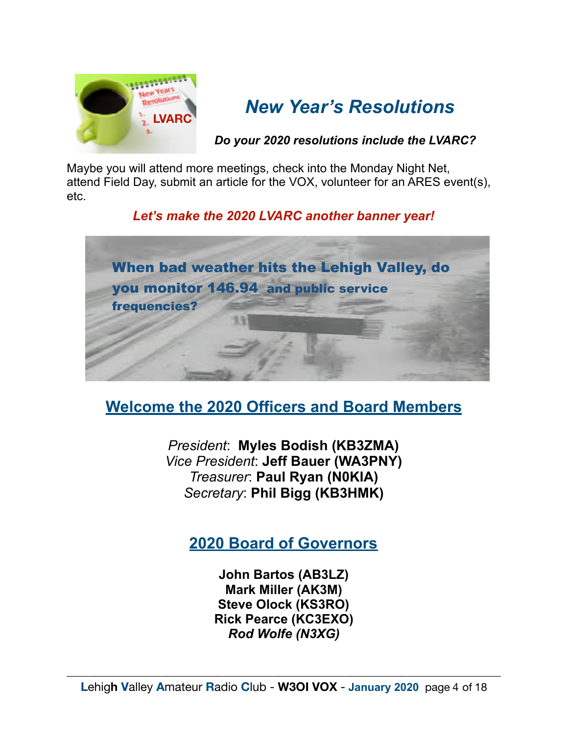

# *New Year's Resolutions*

*Do your 2020 resolutions include the LVARC?*

Maybe you will attend more meetings, check into the Monday Night Net, attend Field Day, submit an article for the VOX, volunteer for an ARES event(s), etc.

#### *Let's make the 2020 LVARC another banner year!*



# **Welcome the 2020 Officers and Board Members**

*President*: **Myles Bodish (KB3ZMA)**  *Vice President*: **Jeff Bauer (WA3PNY)** *Treasurer*: **Paul Ryan (N0KIA)**  *Secretary*: **Phil Bigg (KB3HMK)** 

# **2020 Board of Governors**

**John Bartos (AB3LZ) Mark Miller (AK3M) Steve Olock (KS3RO) Rick Pearce (KC3EXO)** *Rod Wolfe (N3XG)*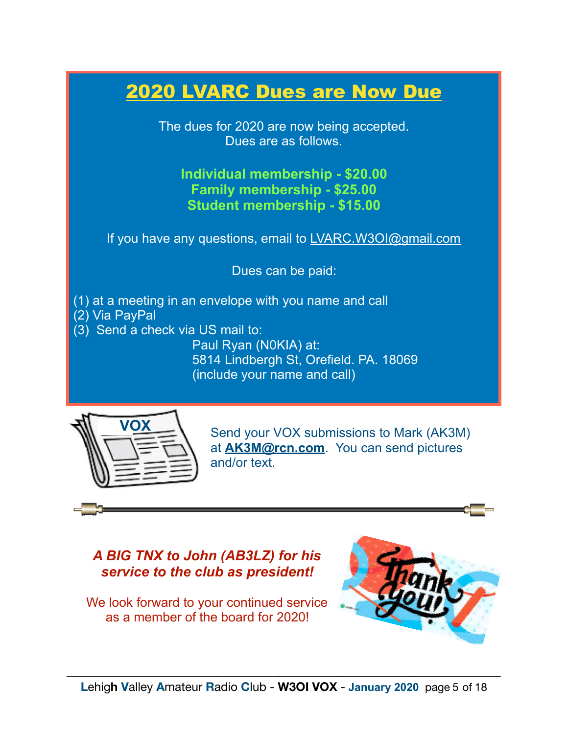# 2020 LVARC Dues are Now Due

The dues for 2020 are now being accepted. Dues are as follows.

#### **Individual membership - \$20.00 Family membership - \$25.00 Student membership - \$15.00**

If you have any questions, email to [LVARC.W3OI@gmail.com](mailto:LVARC.W3OI@gmail.com)

Dues can be paid:

(1) at a meeting in an envelope with you name and call

(2) Via PayPal

(3) Send a check via US mail to:

 Paul Ryan (N0KIA) at: 5814 Lindbergh St, Orefield. PA. 18069 (include your name and call)



Send your VOX submissions to Mark (AK3M) at **[AK3M@rcn.com](mailto:AK3M@rcn.com)**. You can send pictures and/or text.

#### *A BIG TNX to John (AB3LZ) for his service to the club as president!*

We look forward to your continued service as a member of the board for 2020!

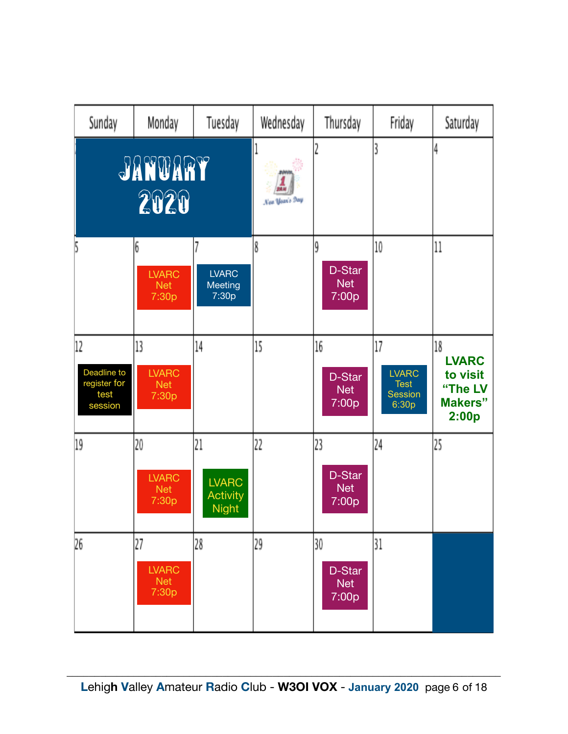| Sunday                                               | Monday                                    | Tuesday                                               | Wednesday      | Thursday                            | Friday                                                       | Saturday                                                              |
|------------------------------------------------------|-------------------------------------------|-------------------------------------------------------|----------------|-------------------------------------|--------------------------------------------------------------|-----------------------------------------------------------------------|
|                                                      | JANUARY<br>2020                           |                                                       | New Year's Day |                                     | 3                                                            | 4                                                                     |
|                                                      | 6<br><b>LVARC</b><br><b>Net</b><br>7:30p  | <b>LVARC</b><br>Meeting<br>7:30p                      | 8              | 9<br>D-Star<br><b>Net</b><br>7:00p  | 10                                                           | 11                                                                    |
| 12<br>Deadline to<br>register for<br>test<br>session | 13<br><b>LVARC</b><br><b>Net</b><br>7:30p | 14                                                    | 15             | 16<br>D-Star<br>Net<br>7:00p        | 17<br><b>LVARC</b><br><b>Test</b><br><b>Session</b><br>6:30p | 18<br><b>LVARC</b><br>to visit<br>"The LV<br><b>Makers</b> "<br>2:00p |
| 19                                                   | 20<br><b>LVARC</b><br><b>Net</b><br>7:30p | 21<br><b>LVARC</b><br><b>Activity</b><br><b>Night</b> | 22             | 23<br>D-Star<br><b>Net</b><br>7:00p | 24                                                           | 25                                                                    |
| 26                                                   | 27<br><b>LVARC</b><br><b>Net</b><br>7:30p | 28                                                    | 29             | 30<br>D-Star<br><b>Net</b><br>7:00p | 31                                                           |                                                                       |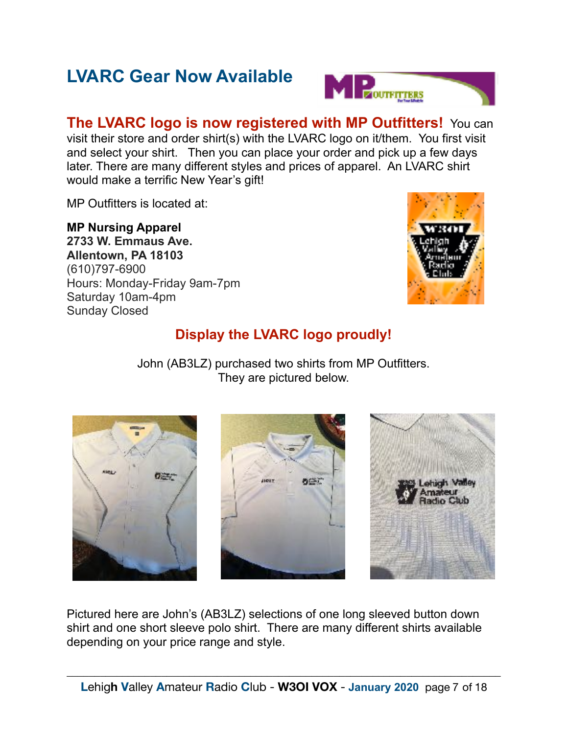# **LVARC Gear Now Available**



**The LVARC logo is now registered with MP Outfitters!** You can visit their store and order shirt(s) with the LVARC logo on it/them. You first visit and select your shirt. Then you can place your order and pick up a few days later. There are many different styles and prices of apparel. An LVARC shirt would make a terrific New Year's gift!

MP Outfitters is located at:

**MP Nursing Apparel 2733 W. Emmaus Ave. Allentown, PA 18103**  (610)797-6900 Hours: Monday-Friday 9am-7pm Saturday 10am-4pm Sunday Closed



#### **Display the LVARC logo proudly!**

John (AB3LZ) purchased two shirts from MP Outfitters. They are pictured below.



Pictured here are John's (AB3LZ) selections of one long sleeved button down shirt and one short sleeve polo shirt. There are many different shirts available depending on your price range and style.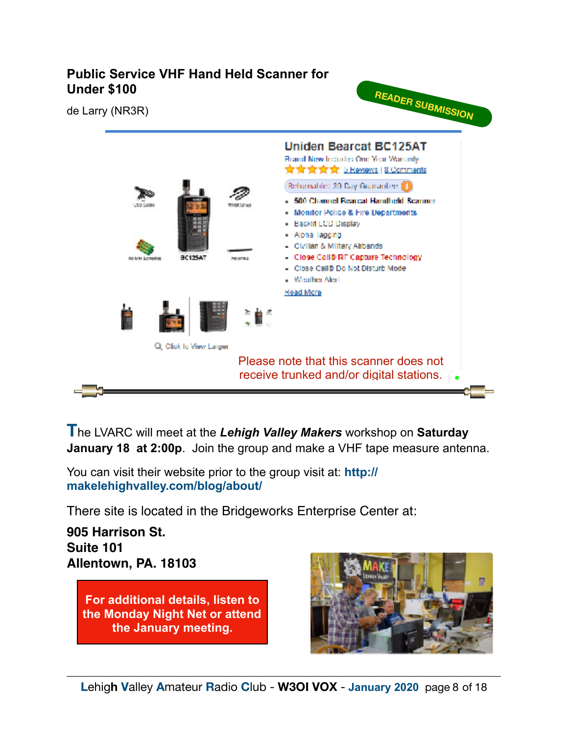#### **Public Service VHF Hand Held Scanner for Under \$100**

de Larry (NR3R)

**READER SUBMISSION**



**T**he LVARC will meet at the *Lehigh Valley Makers* workshop on **Saturday January 18 at 2:00p**. Join the group and make a VHF tape measure antenna.

You can visit their website prior to the group visit at: **http:// makelehighvalley.com/blog/about/** 

There site is located in the Bridgeworks Enterprise Center at:

**[905 Harrison St.](https://www.google.com/maps/dir//905+Harrison+St+%23101,+Allentown,+PA+18103/@40.5936753,-75.4758128,17z/data=!4m13!1m4!3m3!1s0x89c43bd13836b77f:0x66ceab2ad26787d0!2s905+Harrison+St+%23101,+Allentown,+PA+18103!3b1!4m7!1m0!1m5!1m1!1s0x89c43bd13836b77f:0x66ceab2ad26787d0!2m2!1d-75.4736241!2d40.5936753) [Suite 101](https://www.google.com/maps/dir//905+Harrison+St+%23101,+Allentown,+PA+18103/@40.5936753,-75.4758128,17z/data=!4m13!1m4!3m3!1s0x89c43bd13836b77f:0x66ceab2ad26787d0!2s905+Harrison+St+%23101,+Allentown,+PA+18103!3b1!4m7!1m0!1m5!1m1!1s0x89c43bd13836b77f:0x66ceab2ad26787d0!2m2!1d-75.4736241!2d40.5936753) [Allentown, PA. 18103](https://www.google.com/maps/dir//905+Harrison+St+%23101,+Allentown,+PA+18103/@40.5936753,-75.4758128,17z/data=!4m13!1m4!3m3!1s0x89c43bd13836b77f:0x66ceab2ad26787d0!2s905+Harrison+St+%23101,+Allentown,+PA+18103!3b1!4m7!1m0!1m5!1m1!1s0x89c43bd13836b77f:0x66ceab2ad26787d0!2m2!1d-75.4736241!2d40.5936753)**

> **For additional details, listen to the Monday Night Net or attend the January meeting.**

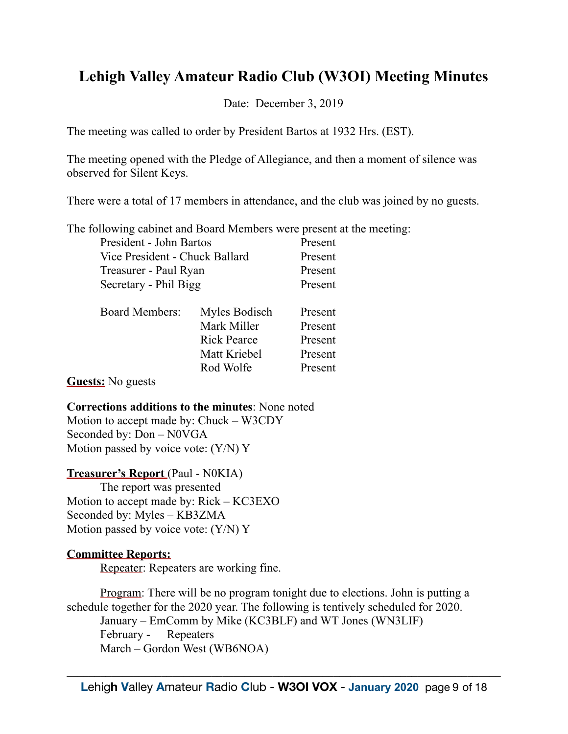# **Lehigh Valley Amateur Radio Club (W3OI) Meeting Minutes**

Date: December 3, 2019

The meeting was called to order by President Bartos at 1932 Hrs. (EST).

The meeting opened with the Pledge of Allegiance, and then a moment of silence was observed for Silent Keys.

There were a total of 17 members in attendance, and the club was joined by no guests.

Rod Wolfe Present

The following cabinet and Board Members were present at the meeting:

| President - John Bartos        |                    | Present |
|--------------------------------|--------------------|---------|
| Vice President - Chuck Ballard | Present            |         |
| Treasurer - Paul Ryan          | Present            |         |
| Secretary - Phil Bigg          | Present            |         |
|                                |                    |         |
| <b>Board Members:</b>          | Myles Bodisch      | Present |
|                                | Mark Miller        | Present |
|                                | <b>Rick Pearce</b> | Present |
|                                | Matt Kriebel       | Present |

**Guests:** No guests

**Corrections additions to the minutes**: None noted

Motion to accept made by: Chuck – W3CDY Seconded by: Don – N0VGA Motion passed by voice vote:  $(Y/N)$  Y

**Treasurer's Report** (Paul - N0KIA)

 The report was presented Motion to accept made by: Rick – KC3EXO Seconded by: Myles – KB3ZMA Motion passed by voice vote: (Y/N) Y

#### **Committee Reports:**

Repeater: Repeaters are working fine.

Program: There will be no program tonight due to elections. John is putting a schedule together for the 2020 year. The following is tentively scheduled for 2020. January – EmComm by Mike (KC3BLF) and WT Jones (WN3LIF) February - Repeaters March – Gordon West (WB6NOA)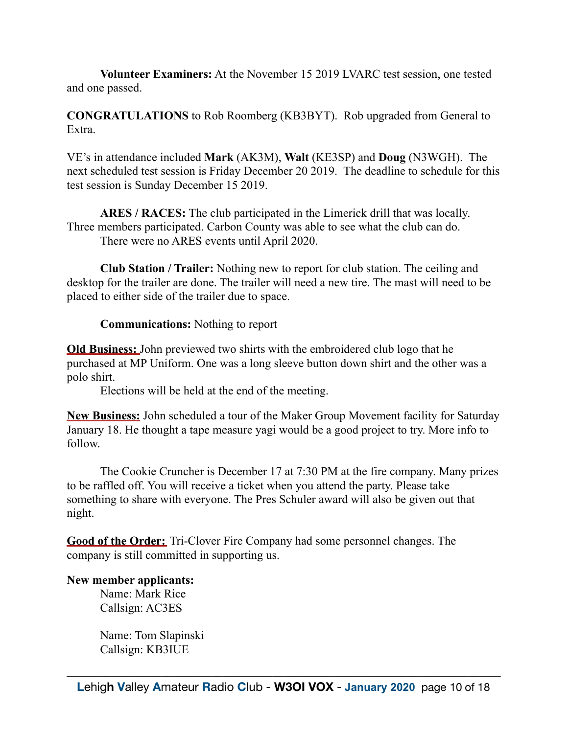**Volunteer Examiners:** At the November 15 2019 LVARC test session, one tested and one passed.

**CONGRATULATIONS** to Rob Roomberg (KB3BYT). Rob upgraded from General to Extra.

VE's in attendance included **Mark** (AK3M), **Walt** (KE3SP) and **Doug** (N3WGH). The next scheduled test session is Friday December 20 2019. The deadline to schedule for this test session is Sunday December 15 2019.

**ARES / RACES:** The club participated in the Limerick drill that was locally. Three members participated. Carbon County was able to see what the club can do. There were no ARES events until April 2020.

**Club Station / Trailer:** Nothing new to report for club station. The ceiling and desktop for the trailer are done. The trailer will need a new tire. The mast will need to be placed to either side of the trailer due to space.

**Communications:** Nothing to report

**Old Business:** John previewed two shirts with the embroidered club logo that he purchased at MP Uniform. One was a long sleeve button down shirt and the other was a polo shirt.

Elections will be held at the end of the meeting.

**New Business:** John scheduled a tour of the Maker Group Movement facility for Saturday January 18. He thought a tape measure yagi would be a good project to try. More info to follow.

 The Cookie Cruncher is December 17 at 7:30 PM at the fire company. Many prizes to be raffled off. You will receive a ticket when you attend the party. Please take something to share with everyone. The Pres Schuler award will also be given out that night.

**Good of the Order:** Tri-Clover Fire Company had some personnel changes. The company is still committed in supporting us.

#### **New member applicants:**

 Name: Mark Rice Callsign: AC3ES

 Name: Tom Slapinski Callsign: KB3IUE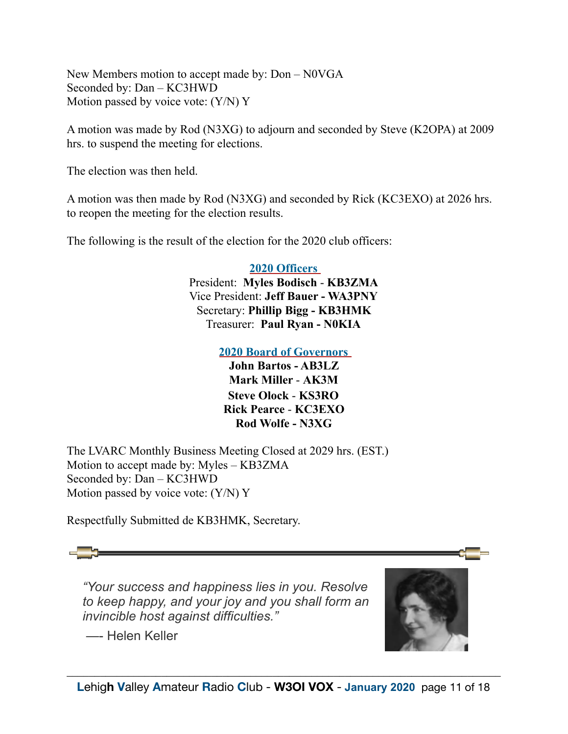New Members motion to accept made by: Don – N0VGA Seconded by: Dan – KC3HWD Motion passed by voice vote: (Y/N) Y

A motion was made by Rod (N3XG) to adjourn and seconded by Steve (K2OPA) at 2009 hrs. to suspend the meeting for elections.

The election was then held.

A motion was then made by Rod (N3XG) and seconded by Rick (KC3EXO) at 2026 hrs. to reopen the meeting for the election results.

The following is the result of the election for the 2020 club officers:

#### **2020 Officers**

President: **Myles Bodisch** - **KB3ZMA** Vice President: **Jeff Bauer - WA3PNY** Secretary: **Phillip Bigg - KB3HMK** Treasurer: **Paul Ryan - N0KIA**

**2020 Board of Governors**

**John Bartos - AB3LZ Mark Miller** - **AK3M Steve Olock** - **KS3RO Rick Pearce** - **KC3EXO Rod Wolfe - N3XG** 

The LVARC Monthly Business Meeting Closed at 2029 hrs. (EST.) Motion to accept made by: Myles – KB3ZMA Seconded by: Dan – KC3HWD Motion passed by voice vote:  $(Y/N)$  Y

Respectfully Submitted de KB3HMK, Secretary.

*"Your success and happiness lies in you. Resolve to keep happy, and your joy and you shall form an invincible host against difficulties."* 

—- Helen Keller

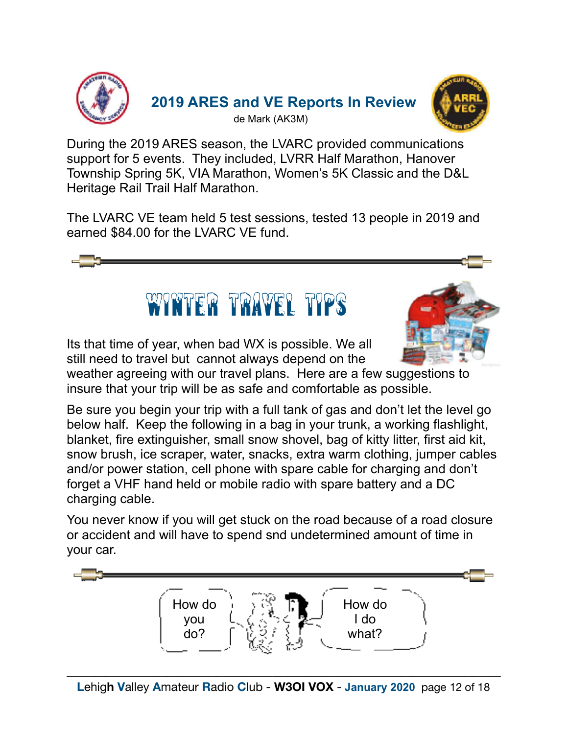

During the 2019 ARES season, the LVARC provided communications support for 5 events. They included, LVRR Half Marathon, Hanover Township Spring 5K, VIA Marathon, Women's 5K Classic and the D&L Heritage Rail Trail Half Marathon.

The LVARC VE team held 5 test sessions, tested 13 people in 2019 and earned \$84.00 for the LVARC VE fund.



Its that time of year, when bad WX is possible. We all still need to travel but cannot always depend on the



weather agreeing with our travel plans. Here are a few suggestions to insure that your trip will be as safe and comfortable as possible.

Be sure you begin your trip with a full tank of gas and don't let the level go below half. Keep the following in a bag in your trunk, a working flashlight, blanket, fire extinguisher, small snow shovel, bag of kitty litter, first aid kit, snow brush, ice scraper, water, snacks, extra warm clothing, jumper cables and/or power station, cell phone with spare cable for charging and don't forget a VHF hand held or mobile radio with spare battery and a DC charging cable.

You never know if you will get stuck on the road because of a road closure or accident and will have to spend snd undetermined amount of time in your car.

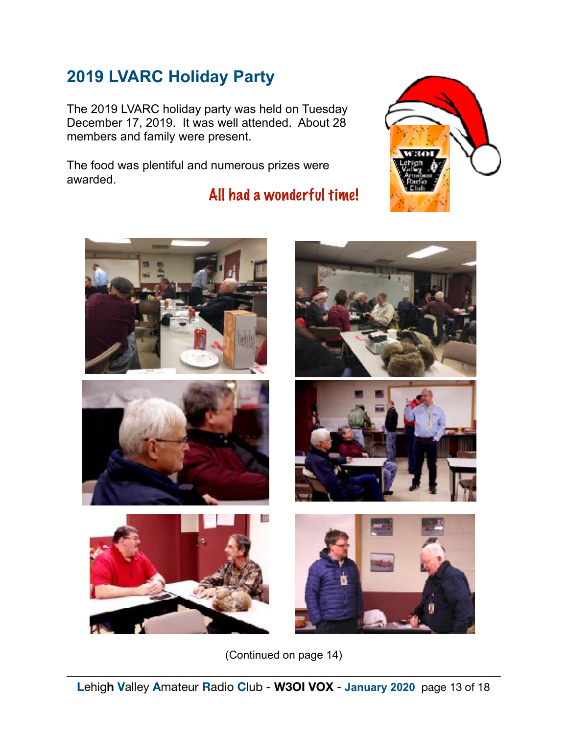# **2019 LVARC Holiday Party**

The 2019 LVARC holiday party was held on Tuesday December 17, 2019. It was well attended. About 28 members and family were present.

The food was plentiful and numerous prizes were awarded.

# All had a wonderful time!















(Continued on page 14)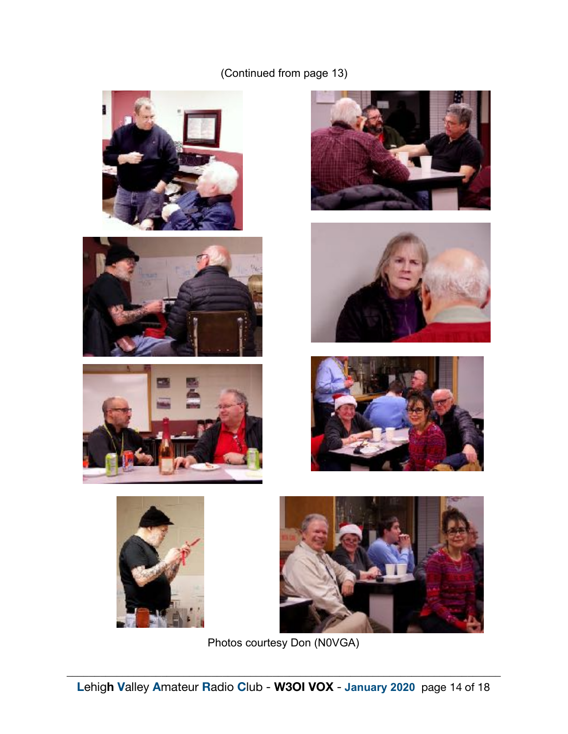#### (Continued from page 13)

















Photos courtesy Don (N0VGA)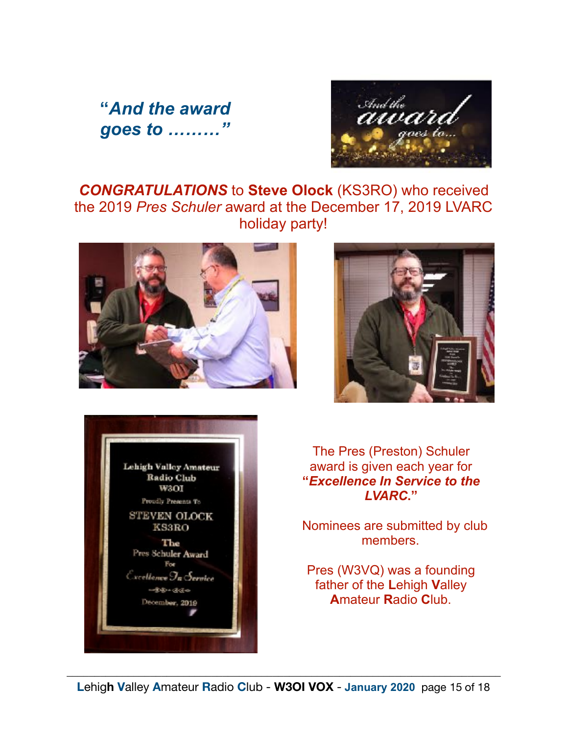# **"***And the award goes to ………"*



#### *CONGRATULATIONS* to **Steve Olock** (KS3RO) who received the 2019 *Pres Schuler* award at the December 17, 2019 LVARC holiday party!







The Pres (Preston) Schuler award is given each year for **"***Excellence In Service to the LVARC***."** 

 Nominees are submitted by club members.

Pres (W3VQ) was a founding father of the **L**ehigh **V**alley **A**mateur **R**adio **C**lub.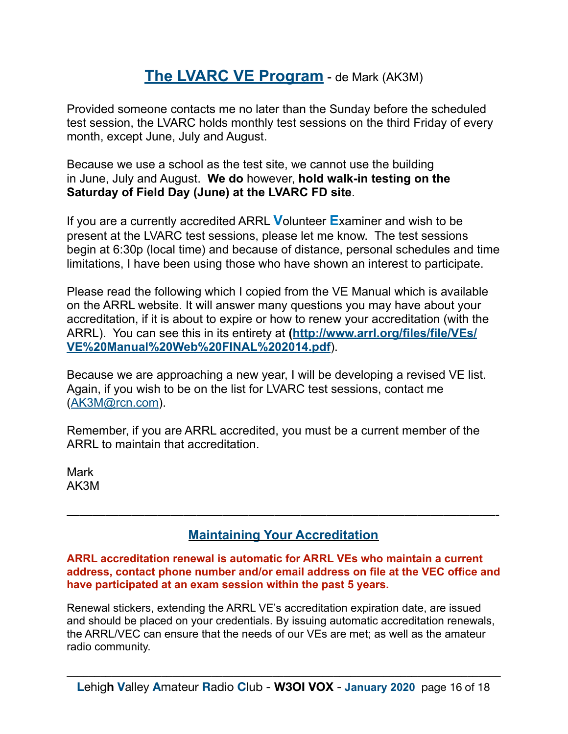### **The LVARC VE Program** - de Mark (AK3M)

Provided someone contacts me no later than the Sunday before the scheduled test session, the LVARC holds monthly test sessions on the third Friday of every month, except June, July and August.

Because we use a school as the test site, we cannot use the building in June, July and August. **We do** however, **hold walk-in testing on the Saturday of Field Day (June) at the LVARC FD site**.

If you are a currently accredited ARRL **V**olunteer **E**xaminer and wish to be present at the LVARC test sessions, please let me know. The test sessions begin at 6:30p (local time) and because of distance, personal schedules and time limitations, I have been using those who have shown an interest to participate.

Please read the following which I copied from the VE Manual which is available on the ARRL website. It will answer many questions you may have about your accreditation, if it is about to expire or how to renew your accreditation (with the ARRL). You can see this in its entirety at **([http://www.arrl.org/files/file/VEs/](http://www.arrl.org/files/file/VEs/VE%20Manual%20Web%20FINAL%202014.pdf) [VE%20Manual%20Web%20FINAL%202014.pdf](http://www.arrl.org/files/file/VEs/VE%20Manual%20Web%20FINAL%202014.pdf)**).

Because we are approaching a new year, I will be developing a revised VE list. Again, if you wish to be on the list for LVARC test sessions, contact me [\(AK3M@rcn.com](mailto:AK3M@rcn.com)).

Remember, if you are ARRL accredited, you must be a current member of the ARRL to maintain that accreditation.

Mark AK3M

#### **Maintaining Your Accreditation**

—————————————————————————————————-

**ARRL accreditation renewal is automatic for ARRL VEs who maintain a current address, contact phone number and/or email address on file at the VEC office and have participated at an exam session within the past 5 years.** 

Renewal stickers, extending the ARRL VE's accreditation expiration date, are issued and should be placed on your credentials. By issuing automatic accreditation renewals, the ARRL/VEC can ensure that the needs of our VEs are met; as well as the amateur radio community.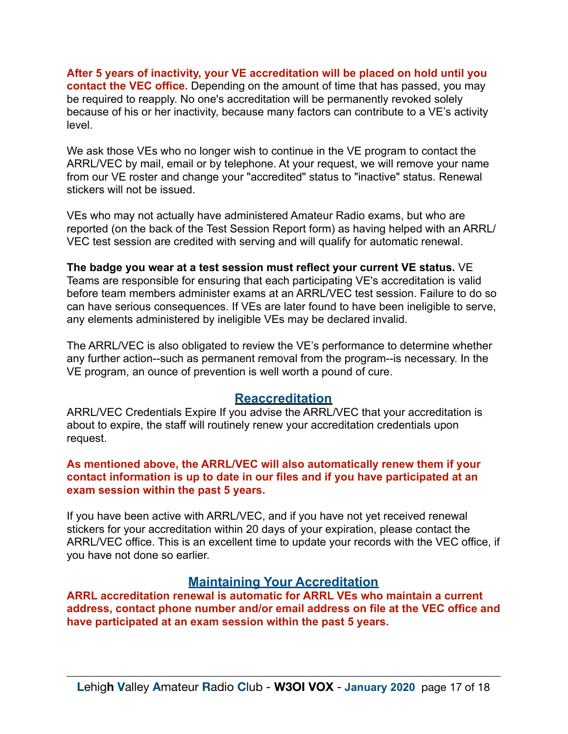**After 5 years of inactivity, your VE accreditation will be placed on hold until you contact the VEC office.** Depending on the amount of time that has passed, you may be required to reapply. No one's accreditation will be permanently revoked solely because of his or her inactivity, because many factors can contribute to a VE's activity level.

We ask those VEs who no longer wish to continue in the VE program to contact the ARRL/VEC by mail, email or by telephone. At your request, we will remove your name from our VE roster and change your "accredited" status to "inactive" status. Renewal stickers will not be issued.

VEs who may not actually have administered Amateur Radio exams, but who are reported (on the back of the Test Session Report form) as having helped with an ARRL/ VEC test session are credited with serving and will qualify for automatic renewal.

**The badge you wear at a test session must reflect your current VE status.** VE Teams are responsible for ensuring that each participating VE's accreditation is valid before team members administer exams at an ARRL/VEC test session. Failure to do so can have serious consequences. If VEs are later found to have been ineligible to serve, any elements administered by ineligible VEs may be declared invalid.

The ARRL/VEC is also obligated to review the VE's performance to determine whether any further action--such as permanent removal from the program--is necessary. In the VE program, an ounce of prevention is well worth a pound of cure.

#### **Reaccreditation**

ARRL/VEC Credentials Expire If you advise the ARRL/VEC that your accreditation is about to expire, the staff will routinely renew your accreditation credentials upon request.

#### **As mentioned above, the ARRL/VEC will also automatically renew them if your contact information is up to date in our files and if you have participated at an exam session within the past 5 years.**

If you have been active with ARRL/VEC, and if you have not yet received renewal stickers for your accreditation within 20 days of your expiration, please contact the ARRL/VEC office. This is an excellent time to update your records with the VEC office, if you have not done so earlier.

#### **Maintaining Your Accreditation**

**ARRL accreditation renewal is automatic for ARRL VEs who maintain a current address, contact phone number and/or email address on file at the VEC office and have participated at an exam session within the past 5 years.**